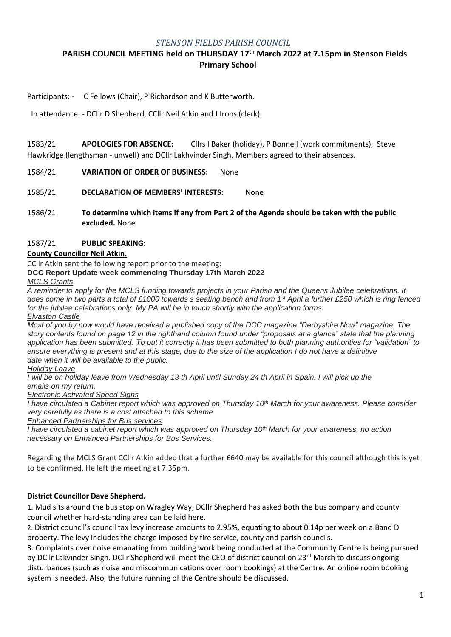### *STENSON FIELDS PARISH COUNCIL*

# **PARISH COUNCIL MEETING held on THURSDAY 17th March 2022 at 7.15pm in Stenson Fields Primary School**

Participants: - C Fellows (Chair), P Richardson and K Butterworth.

In attendance: - DCllr D Shepherd, CCllr Neil Atkin and J Irons (clerk).

1583/21 **APOLOGIES FOR ABSENCE:** Cllrs I Baker (holiday), P Bonnell (work commitments), Steve Hawkridge (lengthsman - unwell) and DCllr Lakhvinder Singh. Members agreed to their absences.

1584/21 **VARIATION OF ORDER OF BUSINESS:** None

1585/21 **DECLARATION OF MEMBERS' INTERESTS:** None

1586/21 **To determine which items if any from Part 2 of the Agenda should be taken with the public excluded.** None

### 1587/21 **PUBLIC SPEAKING:**

### **County Councillor Neil Atkin.**

CCllr Atkin sent the following report prior to the meeting:

### **DCC Report Update week commencing Thursday 17th March 2022**

*MCLS Grants*

*A reminder to apply for the MCLS funding towards projects in your Parish and the Queens Jubilee celebrations. It does come in two parts a total of £1000 towards s seating bench and from 1st April a further £250 which is ring fenced for the jubilee celebrations only. My PA will be in touch shortly with the application forms.*

*Elvaston Castle Most of you by now would have received a published copy of the DCC magazine "Derbyshire Now" magazine. The story contents found on page 12 in the righthand column found under "proposals at a glance" state that the planning application has been submitted. To put it correctly it has been submitted to both planning authorities for "validation" to ensure everything is present and at this stage, due to the size of the application I do not have a definitive*

*date when it will be available to the public.*

#### *Holiday Leave*

*I will be on holiday leave from Wednesday 13 th April until Sunday 24 th April in Spain. I will pick up the emails on my return.*

*Electronic Activated Speed Signs*

*I have circulated a Cabinet report which was approved on Thursday 10th March for your awareness. Please consider very carefully as there is a cost attached to this scheme.*

*Enhanced Partnerships for Bus services*

*I have circulated a cabinet report which was approved on Thursday 10 th March for your awareness, no action necessary on Enhanced Partnerships for Bus Services.*

Regarding the MCLS Grant CCllr Atkin added that a further £640 may be available for this council although this is yet to be confirmed. He left the meeting at 7.35pm.

# **District Councillor Dave Shepherd.**

1. Mud sits around the bus stop on Wragley Way; DCllr Shepherd has asked both the bus company and county council whether hard-standing area can be laid here.

2. District council's council tax levy increase amounts to 2.95%, equating to about 0.14p per week on a Band D property. The levy includes the charge imposed by fire service, county and parish councils.

3. Complaints over noise emanating from building work being conducted at the Community Centre is being pursued by DCllr Lakvinder Singh. DCllr Shepherd will meet the CEO of district council on 23<sup>rd</sup> March to discuss ongoing disturbances (such as noise and miscommunications over room bookings) at the Centre. An online room booking system is needed. Also, the future running of the Centre should be discussed.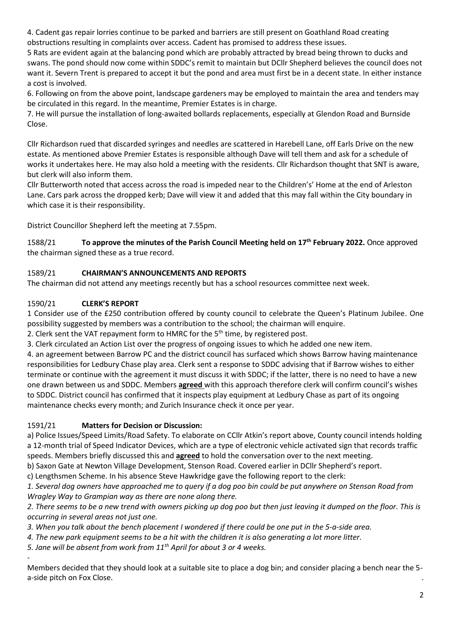4. Cadent gas repair lorries continue to be parked and barriers are still present on Goathland Road creating obstructions resulting in complaints over access. Cadent has promised to address these issues.

5 Rats are evident again at the balancing pond which are probably attracted by bread being thrown to ducks and swans. The pond should now come within SDDC's remit to maintain but DCllr Shepherd believes the council does not want it. Severn Trent is prepared to accept it but the pond and area must first be in a decent state. In either instance a cost is involved.

6. Following on from the above point, landscape gardeners may be employed to maintain the area and tenders may be circulated in this regard. In the meantime, Premier Estates is in charge.

7. He will pursue the installation of long-awaited bollards replacements, especially at Glendon Road and Burnside Close.

Cllr Richardson rued that discarded syringes and needles are scattered in Harebell Lane, off Earls Drive on the new estate. As mentioned above Premier Estates is responsible although Dave will tell them and ask for a schedule of works it undertakes here. He may also hold a meeting with the residents. Cllr Richardson thought that SNT is aware, but clerk will also inform them.

Cllr Butterworth noted that access across the road is impeded near to the Children's' Home at the end of Arleston Lane. Cars park across the dropped kerb; Dave will view it and added that this may fall within the City boundary in which case it is their responsibility.

District Councillor Shepherd left the meeting at 7.55pm.

1588/21 **To approve the minutes of the Parish Council Meeting held on 17 th February 2022.** Once approved the chairman signed these as a true record.

# 1589/21 **CHAIRMAN'S ANNOUNCEMENTS AND REPORTS**

The chairman did not attend any meetings recently but has a school resources committee next week.

# 1590/21 **CLERK'S REPORT**

1 Consider use of the £250 contribution offered by county council to celebrate the Queen's Platinum Jubilee. One possibility suggested by members was a contribution to the school; the chairman will enquire.

2. Clerk sent the VAT repayment form to HMRC for the  $5<sup>th</sup>$  time, by registered post.

3. Clerk circulated an Action List over the progress of ongoing issues to which he added one new item.

4. an agreement between Barrow PC and the district council has surfaced which shows Barrow having maintenance responsibilities for Ledbury Chase play area. Clerk sent a response to SDDC advising that if Barrow wishes to either terminate or continue with the agreement it must discuss it with SDDC; if the latter, there is no need to have a new one drawn between us and SDDC. Members **agreed** with this approach therefore clerk will confirm council's wishes to SDDC. District council has confirmed that it inspects play equipment at Ledbury Chase as part of its ongoing maintenance checks every month; and Zurich Insurance check it once per year.

# 1591/21 **Matters for Decision or Discussion:**

a) Police Issues/Speed Limits/Road Safety. To elaborate on CCllr Atkin's report above, County council intends holding a 12-month trial of Speed Indicator Devices, which are a type of electronic vehicle activated sign that records traffic speeds. Members briefly discussed this and **agreed** to hold the conversation over to the next meeting.

b) Saxon Gate at Newton Village Development, Stenson Road. Covered earlier in DCllr Shepherd's report.

c) Lengthsmen Scheme. In his absence Steve Hawkridge gave the following report to the clerk:

*1. Several dog owners have approached me to query if a dog poo bin could be put anywhere on Stenson Road from Wragley Way to Grampian way as there are none along there.*

*2. There seems to be a new trend with owners picking up dog poo but then just leaving it dumped on the floor. This is occurring in several areas not just one.*

*3. When you talk about the bench placement I wondered if there could be one put in the 5-a-side area.*

*4. The new park equipment seems to be a hit with the children it is also generating a lot more litter.*

*5. Jane will be absent from work from 11th April for about 3 or 4 weeks.* 

- Members decided that they should look at a suitable site to place a dog bin; and consider placing a bench near the 5 a-side pitch on Fox Close. .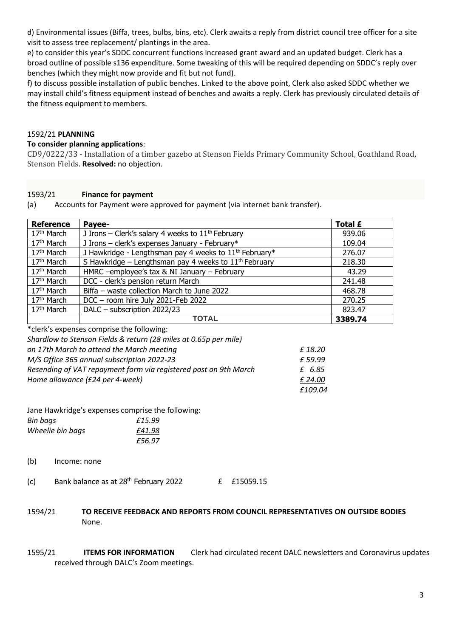d) Environmental issues (Biffa, trees, bulbs, bins, etc). Clerk awaits a reply from district council tree officer for a site visit to assess tree replacement/ plantings in the area.

e) to consider this year's SDDC concurrent functions increased grant award and an updated budget. Clerk has a broad outline of possible s136 expenditure. Some tweaking of this will be required depending on SDDC's reply over benches (which they might now provide and fit but not fund).

f) to discuss possible installation of public benches. Linked to the above point, Clerk also asked SDDC whether we may install child's fitness equipment instead of benches and awaits a reply. Clerk has previously circulated details of the fitness equipment to members.

# 1592/21 **PLANNING**

### **To consider planning applications**:

CD9/0222/33 - Installation of a timber gazebo at Stenson Fields Primary Community School, Goathland Road, Stenson Fields. **Resolved:** no objection.

### 1593/21 **Finance for payment**

(a) Accounts for Payment were approved for payment (via internet bank transfer).

| <b>Reference</b>       | Payee-                                                             | <b>Total £</b> |
|------------------------|--------------------------------------------------------------------|----------------|
| 17 <sup>th</sup> March | J Irons - Clerk's salary 4 weeks to $11th$ February                | 939.06         |
| 17 <sup>th</sup> March | J Irons - clerk's expenses January - February*                     | 109.04         |
| 17 <sup>th</sup> March | J Hawkridge - Lengthsman pay 4 weeks to 11 <sup>th</sup> February* | 276.07         |
| 17 <sup>th</sup> March | S Hawkridge – Lengthsman pay 4 weeks to $11th$ February            | 218.30         |
| 17 <sup>th</sup> March | HMRC -employee's tax & NI January - February                       | 43.29          |
| 17 <sup>th</sup> March | DCC - clerk's pension return March                                 | 241.48         |
| 17 <sup>th</sup> March | Biffa - waste collection March to June 2022                        | 468.78         |
| 17 <sup>th</sup> March | DCC - room hire July 2021-Feb 2022                                 | 270.25         |
| 17 <sup>th</sup> March | DALC - subscription 2022/23                                        | 823.47         |
|                        | <b>TOTAL</b>                                                       | 3389.74        |

\*clerk's expenses comprise the following:

*Shardlow to Stenson Fields & return (28 miles at 0.65p per mile)*

| on 17th March to attend the March meeting                        | f 18.20 |
|------------------------------------------------------------------|---------|
| M/S Office 365 annual subscription 2022-23                       | £59.99  |
| Resending of VAT repayment form via registered post on 9th March | £ 6.85  |
| Home allowance (£24 per 4-week)                                  | £ 24.00 |
|                                                                  | £109.04 |

|                  | Jane Hawkridge's expenses comprise the following: |
|------------------|---------------------------------------------------|
| Bin bags         | £15.99                                            |
| Wheelie bin bags | £41.98                                            |
|                  | £56.97                                            |

(b) Income: none

(c) Bank balance as at  $28<sup>th</sup>$  February 2022  $E$  £15059.15

- 1594/21 **TO RECEIVE FEEDBACK AND REPORTS FROM COUNCIL REPRESENTATIVES ON OUTSIDE BODIES**  None.
- 1595/21 **ITEMS FOR INFORMATION** Clerk had circulated recent DALC newsletters and Coronavirus updates received through DALC's Zoom meetings.